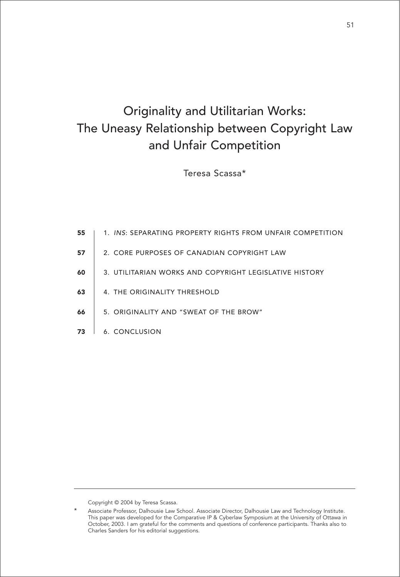# Originality and Utilitarian Works: The Uneasy Relationship between Copyright Law and Unfair Competition

Teresa Scassa\*

| 55 | 1. INS: SEPARATING PROPERTY RIGHTS FROM UNFAIR COMPETITION |
|----|------------------------------------------------------------|
| 57 | 2. CORE PURPOSES OF CANADIAN COPYRIGHT LAW                 |
| 60 | 3. UTILITARIAN WORKS AND COPYRIGHT LEGISLATIVE HISTORY     |
| 63 | 4. THE ORIGINALITY THRESHOLD                               |
| 66 | 5. ORIGINALITY AND "SWEAT OF THE BROW"                     |
| 73 | 6. CONCLUSION                                              |
|    |                                                            |

Copyright © 2004 by Teresa Scassa.

Associate Professor, Dalhousie Law School. Associate Director, Dalhousie Law and Technology Institute. This paper was developed for the Comparative IP & Cyberlaw Symposium at the University of Ottawa in October, 2003. I am grateful for the comments and questions of conference participants. Thanks also to Charles Sanders for his editorial suggestions.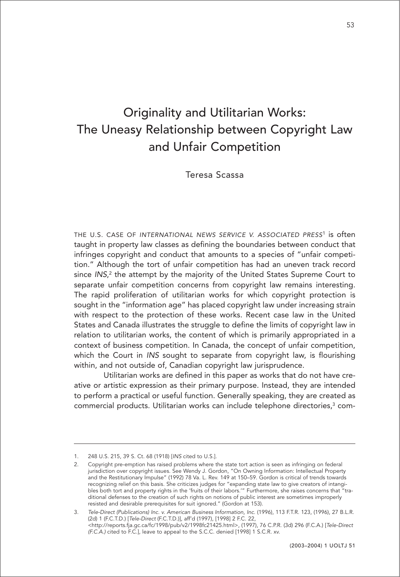# Originality and Utilitarian Works: The Uneasy Relationship between Copyright Law and Unfair Competition

Teresa Scassa

THE U.S. CASE OF INTERNATIONAL NEWS SERVICE V. ASSOCIATED PRESS<sup>1</sup> is often taught in property law classes as defining the boundaries between conduct that infringes copyright and conduct that amounts to a species of "unfair competition." Although the tort of unfair competition has had an uneven track record since INS, $^2$  the attempt by the majority of the United States Supreme Court to separate unfair competition concerns from copyright law remains interesting. The rapid proliferation of utilitarian works for which copyright protection is sought in the "information age" has placed copyright law under increasing strain with respect to the protection of these works. Recent case law in the United States and Canada illustrates the struggle to define the limits of copyright law in relation to utilitarian works, the content of which is primarily appropriated in a context of business competition. In Canada, the concept of unfair competition, which the Court in INS sought to separate from copyright law, is flourishing within, and not outside of, Canadian copyright law jurisprudence.

Utilitarian works are defined in this paper as works that do not have creative or artistic expression as their primary purpose. Instead, they are intended to perform a practical or useful function. Generally speaking, they are created as commercial products. Utilitarian works can include telephone directories,3 com-

<sup>1. 248</sup> U.S. 215, 39 S. Ct. 68 (1918) [INS cited to U.S.].

<sup>2.</sup> Copyright pre-emption has raised problems where the state tort action is seen as infringing on federal jurisdiction over copyright issues. See Wendy J. Gordon, "On Owning Information: Intellectual Property and the Restitutionary Impulse" (1992) 78 Va. L. Rev. 149 at 150–59. Gordon is critical of trends towards recognizing relief on this basis. She criticizes judges for "expanding state law to give creators of intangibles both tort and property rights in the 'fruits of their labors.'" Furthermore, she raises concerns that "traditional defenses to the creation of such rights on notions of public interest are sometimes improperly resisted and desirable prerequisites for suit ignored." (Gordon at 153).

<sup>3.</sup> Tele-Direct (Publications) Inc. v. American Business Information, Inc. (1996), 113 F.T.R. 123, (1996), 27 B.L.R. (2d) 1 (F.C.T.D.) [Tele-Direct (F.C.T.D.)], aff'd (1997), [1998] 2 F.C. 22, <http://reports.fja.gc.ca/fc/1998/pub/v2/1998fc21425.html>, (1997), 76 C.P.R. (3d) 296 (F.C.A.) [Tele-Direct (F.C.A.) cited to F.C.], leave to appeal to the S.C.C. denied [1998] 1 S.C.R. xv.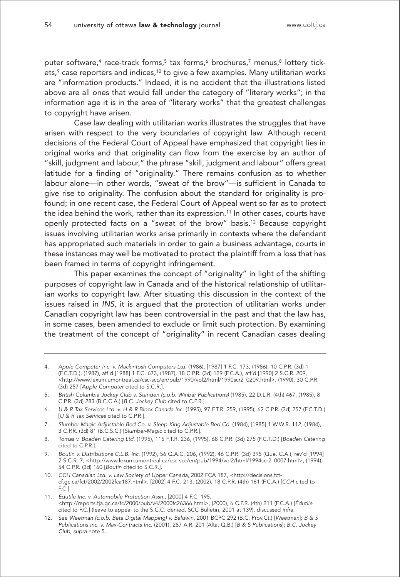puter software,<sup>4</sup> race-track forms,<sup>5</sup> tax forms,<sup>6</sup> brochures,<sup>7</sup> menus,<sup>8</sup> lottery tickets,<sup>9</sup> case reporters and indices,<sup>10</sup> to give a few examples. Many utilitarian works are "information products." Indeed, it is no accident that the illustrations listed above are all ones that would fall under the category of "literary works"; in the information age it is in the area of "literary works" that the greatest challenges to copyright have arisen.

Case law dealing with utilitarian works illustrates the struggles that have arisen with respect to the very boundaries of copyright law. Although recent decisions of the Federal Court of Appeal have emphasized that copyright lies in original works and that originality can flow from the exercise by an author of "skill, judgment and labour," the phrase "skill, judgment and labour" offers great latitude for a finding of "originality." There remains confusion as to whether labour alone—in other words, "sweat of the brow"—is sufficient in Canada to give rise to originality. The confusion about the standard for originality is profound; in one recent case, the Federal Court of Appeal went so far as to protect the idea behind the work, rather than its expression.<sup>11</sup> In other cases, courts have openly protected facts on a "sweat of the brow" basis.12 Because copyright issues involving utilitarian works arise primarily in contexts where the defendant has appropriated such materials in order to gain a business advantage, courts in these instances may well be motivated to protect the plaintiff from a loss that has been framed in terms of copyright infringement.

This paper examines the concept of "originality" in light of the shifting purposes of copyright law in Canada and of the historical relationship of utilitarian works to copyright law. After situating this discussion in the context of the issues raised in INS, it is argued that the protection of utilitarian works under Canadian copyright law has been controversial in the past and that the law has, in some cases, been amended to exclude or limit such protection. By examining the treatment of the concept of "originality" in recent Canadian cases dealing

- 4. Apple Computer Inc. v. Mackintosh Computers Ltd. (1986), [1987] 1 F.C. 173, (1986), 10 C.P.R. (3d) 1 (F.C.T.D.), (1987), aff'd [1988] 1 F.C. 673, (1987), 18 C.P.R. (3d) 129 (F.C.A.), aff'd [1990] 2 S.C.R. 209, <http://www.lexum.umontreal.ca/csc-scc/en/pub/1990/vol2/html/1990scr2\_0209.html>, (1990), 30 C.P.R. (3d) 257 [Apple Computer cited to S.C.R.].
- 5. British Columbia Jockey Club v. Standen (c.o.b. Winbar Publications) (1985), 22 D.L.R. (4th) 467, (1985), 8 C.P.R. (3d) 283 (B.C.C.A.) [B.C. Jockey Club cited to C.P.R.].
- 6. U & R Tax Services Ltd. v. H & R Block Canada Inc. (1995), 97 F.T.R. 259, (1995), 62 C.P.R. (3d) 257 (F.C.T.D.) IU & R Tax Services cited to C.P.R.].
- 7. Slumber-Magic Adjustable Bed Co. v. Sleep-King Adjustable Bed Co. (1984), [1985] 1 W.W.R. 112, (1984), 3 C.P.R. (3d) 81 (B.C.S.C.) [Slumber-Magic cited to C.P.R.].
- 8. Tomas v. Boaden Catering Ltd. (1995), 115 F.T.R. 236, (1995), 68 C.P.R. (3d) 275 (F.C.T.D.) [Boaden Catering cited to C.P.R.].
- 9. Boutin v. Distributions C.L.B. Inc. (1992), 56 Q.A.C. 206, (1992), 46 C.P.R. (3d) 395 (Que. C.A.), rev'd [1994] 2 S.C.R. 7, <http://www.lexum.umontreal.ca/csc-scc/en/pub/1994/vol2/html/1994scr2\_0007.html>, (1994), 54 C.P.R. (3d) 160 [Boutin cited to S.C.R.].
- 10. CCH Canadian Ltd. v. Law Society of Upper Canada, 2002 FCA 187, <http://decisions.fctcf.gc.ca/fct/2002/2002fca187.html>, [2002] 4 F.C. 213, (2002), 18 C.P.R. (4th) 161 (F.C.A.) [CCH cited to F.C.].
- 11. Édutile Inc. v. Automobile Protection Assn., [2000] 4 F.C. 195, <http://reports.fja.gc.ca/fc/2000/pub/v4/2000fc26366.html>, (2000), 6 C.P.R. (4th) 211 (F.C.A.) [Édutile cited to F.C.] (leave to appeal to the S.C.C. denied, SCC Bulletin, 2001 at 139), discussed infra.
- 12. See Weetman (c.o.b. Beta Digital Mapping) v. Baldwin, 2001 BCPC 292 (B.C. Prov.Ct.) [Weetman]; B & S Publications Inc. v. Max-Contracts Inc. (2001), 287 A.R. 201 (Alta. Q.B.) [B & S Publications]; B.C. Jockey Club, supra note 5.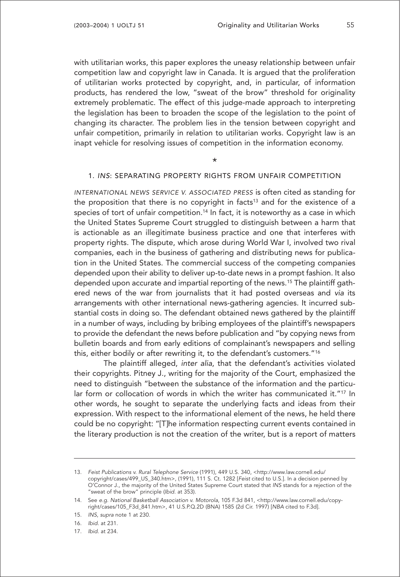with utilitarian works, this paper explores the uneasy relationship between unfair competition law and copyright law in Canada. It is argued that the proliferation of utilitarian works protected by copyright, and, in particular, of information products, has rendered the low, "sweat of the brow" threshold for originality extremely problematic. The effect of this judge-made approach to interpreting the legislation has been to broaden the scope of the legislation to the point of changing its character. The problem lies in the tension between copyright and unfair competition, primarily in relation to utilitarian works. Copyright law is an inapt vehicle for resolving issues of competition in the information economy.

\*

#### 1. INS: SEPARATING PROPERTY RIGHTS FROM UNFAIR COMPETITION

INTERNATIONAL NEWS SERVICE V. ASSOCIATED PRESS is often cited as standing for the proposition that there is no copyright in facts<sup>13</sup> and for the existence of a species of tort of unfair competition.<sup>14</sup> In fact, it is noteworthy as a case in which the United States Supreme Court struggled to distinguish between a harm that is actionable as an illegitimate business practice and one that interferes with property rights. The dispute, which arose during World War I, involved two rival companies, each in the business of gathering and distributing news for publication in the United States. The commercial success of the competing companies depended upon their ability to deliver up-to-date news in a prompt fashion. It also depended upon accurate and impartial reporting of the news.15 The plaintiff gathered news of the war from journalists that it had posted overseas and via its arrangements with other international news-gathering agencies. It incurred substantial costs in doing so. The defendant obtained news gathered by the plaintiff in a number of ways, including by bribing employees of the plaintiff's newspapers to provide the defendant the news before publication and "by copying news from bulletin boards and from early editions of complainant's newspapers and selling this, either bodily or after rewriting it, to the defendant's customers."16

The plaintiff alleged, inter alia, that the defendant's activities violated their copyrights. Pitney J., writing for the majority of the Court, emphasized the need to distinguish "between the substance of the information and the particular form or collocation of words in which the writer has communicated it."17 In other words, he sought to separate the underlying facts and ideas from their expression. With respect to the informational element of the news, he held there could be no copyright: "[T]he information respecting current events contained in the literary production is not the creation of the writer, but is a report of matters

<sup>13.</sup> Feist Publications v. Rural Telephone Service (1991), 449 U.S. 340, <http://www.law.cornell.edu/ copyright/cases/499\_US\_340.htm>, (1991), 111 S. Ct. 1282 [Feist cited to U.S.]. In a decision penned by O'Connor J., the majority of the United States Supreme Court stated that INS stands for a rejection of the "sweat of the brow" principle (Ibid. at 353).

<sup>14.</sup> See e.g. National Basketball Association v. Motorola, 105 F.3d 841, <http://www.law.cornell.edu/copyright/cases/105\_F3d\_841.htm>, 41 U.S.P.Q.2D (BNA) 1585 (2d Cir. 1997) [NBA cited to F.3d].

<sup>15.</sup> INS, supra note 1 at 230.

<sup>16.</sup> Ibid. at 231.

<sup>17.</sup> Ibid. at 234.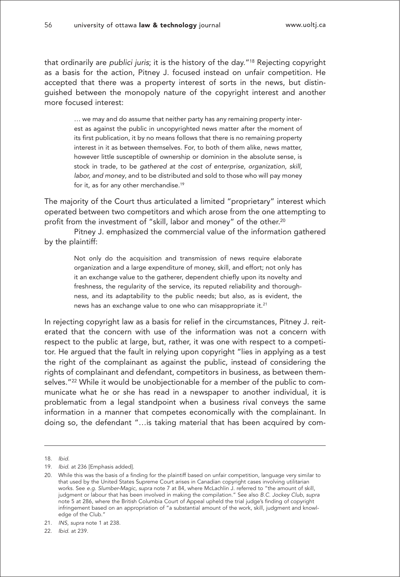that ordinarily are publici juris; it is the history of the day."18 Rejecting copyright as a basis for the action, Pitney J. focused instead on unfair competition. He accepted that there was a property interest of sorts in the news, but distinguished between the monopoly nature of the copyright interest and another more focused interest:

> … we may and do assume that neither party has any remaining property interest as against the public in uncopyrighted news matter after the moment of its first publication, it by no means follows that there is no remaining property interest in it as between themselves. For, to both of them alike, news matter, however little susceptible of ownership or dominion in the absolute sense, is stock in trade, to be gathered at the cost of enterprise, organization, skill, labor, and money, and to be distributed and sold to those who will pay money for it, as for any other merchandise.19

The majority of the Court thus articulated a limited "proprietary" interest which operated between two competitors and which arose from the one attempting to profit from the investment of "skill, labor and money" of the other.<sup>20</sup>

Pitney J. emphasized the commercial value of the information gathered by the plaintiff:

> Not only do the acquisition and transmission of news require elaborate organization and a large expenditure of money, skill, and effort; not only has it an exchange value to the gatherer, dependent chiefly upon its novelty and freshness, the regularity of the service, its reputed reliability and thoroughness, and its adaptability to the public needs; but also, as is evident, the news has an exchange value to one who can misappropriate it.21

In rejecting copyright law as a basis for relief in the circumstances, Pitney J. reiterated that the concern with use of the information was not a concern with respect to the public at large, but, rather, it was one with respect to a competitor. He argued that the fault in relying upon copyright "lies in applying as a test the right of the complainant as against the public, instead of considering the rights of complainant and defendant, competitors in business, as between themselves."<sup>22</sup> While it would be unobjectionable for a member of the public to communicate what he or she has read in a newspaper to another individual, it is problematic from a legal standpoint when a business rival conveys the same information in a manner that competes economically with the complainant. In doing so, the defendant "…is taking material that has been acquired by com-

22. Ibid. at 239.

<sup>18.</sup> Ibid.

<sup>19.</sup> Ibid. at 236 [Emphasis added].

<sup>20.</sup> While this was the basis of a finding for the plaintiff based on unfair competition, language very similar to that used by the United States Supreme Court arises in Canadian copyright cases involving utilitarian works. See e.g. Slumber-Magic, supra note 7 at 84, where McLachlin J. referred to "the amount of skill, judgment or labour that has been involved in making the compilation." See also B.C. Jockey Club, supra note 5 at 286, where the British Columbia Court of Appeal upheld the trial judge's finding of copyright infringement based on an appropriation of "a substantial amount of the work, skill, judgment and knowledge of the Club."

<sup>21.</sup> INS, supra note 1 at 238.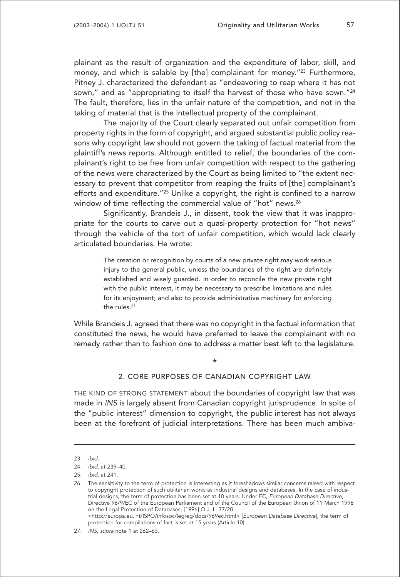plainant as the result of organization and the expenditure of labor, skill, and money, and which is salable by [the] complainant for money.<sup>"23</sup> Furthermore, Pitney J. characterized the defendant as "endeavoring to reap where it has not sown," and as "appropriating to itself the harvest of those who have sown."<sup>24</sup> The fault, therefore, lies in the unfair nature of the competition, and not in the taking of material that is the intellectual property of the complainant.

The majority of the Court clearly separated out unfair competition from property rights in the form of copyright, and argued substantial public policy reasons why copyright law should not govern the taking of factual material from the plaintiff's news reports. Although entitled to relief, the boundaries of the complainant's right to be free from unfair competition with respect to the gathering of the news were characterized by the Court as being limited to "the extent necessary to prevent that competitor from reaping the fruits of [the] complainant's efforts and expenditure.<sup>"25</sup> Unlike a copyright, the right is confined to a narrow window of time reflecting the commercial value of "hot" news.<sup>26</sup>

Significantly, Brandeis J., in dissent, took the view that it was inappropriate for the courts to carve out a quasi-property protection for "hot news" through the vehicle of the tort of unfair competition, which would lack clearly articulated boundaries. He wrote:

> The creation or recognition by courts of a new private right may work serious injury to the general public, unless the boundaries of the right are definitely established and wisely guarded. In order to reconcile the new private right with the public interest, it may be necessary to prescribe limitations and rules for its enjoyment; and also to provide administrative machinery for enforcing the rules.<sup>27</sup>

While Brandeis J. agreed that there was no copyright in the factual information that constituted the news, he would have preferred to leave the complainant with no remedy rather than to fashion one to address a matter best left to the legislature.

## \*

#### 2. CORE PURPOSES OF CANADIAN COPYRIGHT LAW

THE KIND OF STRONG STATEMENT about the boundaries of copyright law that was made in INS is largely absent from Canadian copyright jurisprudence. In spite of the "public interest" dimension to copyright, the public interest has not always been at the forefront of judicial interpretations. There has been much ambiva-

<sup>23.</sup> Ibid.

<sup>24.</sup> Ibid. at 239–40.

<sup>25.</sup> Ibid. at 241.

<sup>26.</sup> The sensitivity to the term of protection is interesting as it foreshadows similar concerns raised with respect to copyright protection of such utilitarian works as industrial designs and databases. In the case of industrial designs, the term of protection has been set at 10 years. Under EC, European Database Directive, Directive 96/9/EC of the European Parliament and of the Council of the European Union of 11 March 1996 on the Legal Protection of Databases, [1996] O.J. L. 77/20, <http://europa.eu.int/ISPO/infosoc/legreg/docs/969ec.html> [European Database Directive], the term of

protection for compilations of fact is set at 15 years (Article 10).

<sup>27.</sup> INS, supra note 1 at 262–63.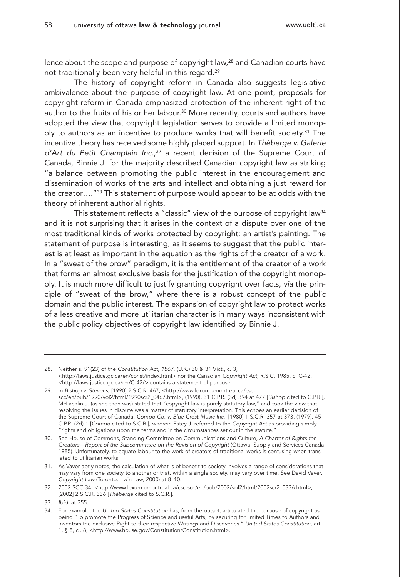lence about the scope and purpose of copyright law,<sup>28</sup> and Canadian courts have not traditionally been very helpful in this regard.29

The history of copyright reform in Canada also suggests legislative ambivalence about the purpose of copyright law. At one point, proposals for copyright reform in Canada emphasized protection of the inherent right of the author to the fruits of his or her labour.30 More recently, courts and authors have adopted the view that copyright legislation serves to provide a limited monopoly to authors as an incentive to produce works that will benefit society.<sup>31</sup> The incentive theory has received some highly placed support. In Théberge v. Galerie d'Art du Petit Champlain Inc., <sup>32</sup> a recent decision of the Supreme Court of Canada, Binnie J. for the majority described Canadian copyright law as striking "a balance between promoting the public interest in the encouragement and dissemination of works of the arts and intellect and obtaining a just reward for the creator…."33 This statement of purpose would appear to be at odds with the theory of inherent authorial rights.

This statement reflects a "classic" view of the purpose of copyright law<sup>34</sup> and it is not surprising that it arises in the context of a dispute over one of the most traditional kinds of works protected by copyright: an artist's painting. The statement of purpose is interesting, as it seems to suggest that the public interest is at least as important in the equation as the rights of the creator of a work. In a "sweat of the brow" paradigm, it is the entitlement of the creator of a work that forms an almost exclusive basis for the justification of the copyright monopoly. It is much more difficult to justify granting copyright over facts, via the principle of "sweat of the brow," where there is a robust concept of the public domain and the public interest. The expansion of copyright law to protect works of a less creative and more utilitarian character is in many ways inconsistent with the public policy objectives of copyright law identified by Binnie J.

<sup>28.</sup> Neither s. 91(23) of the Constitution Act, 1867, (U.K.) 30 & 31 Vict., c. 3, <http://laws.justice.gc.ca/en/const/index.html> nor the Canadian Copyright Act, R.S.C. 1985, c. C-42, <http://laws.justice.gc.ca/en/C-42/> contains a statement of purpose.

<sup>29.</sup> In Bishop v. Stevens, [1990] 2 S.C.R. 467, <http://www.lexum.umontreal.ca/cscscc/en/pub/1990/vol2/html/1990scr2\_0467.html>, (1990), 31 C.P.R. (3d) 394 at 477 [Bishop cited to C.P.R.], McLachlin J. (as she then was) stated that "copyright law is purely statutory law," and took the view that resolving the issues in dispute was a matter of statutory interpretation. This echoes an earlier decision of the Supreme Court of Canada, Compo Co. v. Blue Crest Music Inc., [1980] 1 S.C.R. 357 at 373, (1979), 45 C.P.R. (2d) 1 [Compo cited to S.C.R.], wherein Estey J. referred to the Copyright Act as providing simply "rights and obligations upon the terms and in the circumstances set out in the statute."

<sup>30.</sup> See House of Commons, Standing Committee on Communications and Culture, A Charter of Rights for Creators—Report of the Subcommittee on the Revision of Copyright (Ottawa: Supply and Services Canada, 1985). Unfortunately, to equate labour to the work of creators of traditional works is confusing when translated to utilitarian works.

<sup>31.</sup> As Vaver aptly notes, the calculation of what is of benefit to society involves a range of considerations that may vary from one society to another or that, within a single society, may vary over time. See David Vaver, Copyright Law (Toronto: Irwin Law, 2000) at 8–10.

<sup>32. 2002</sup> SCC 34, <http://www.lexum.umontreal.ca/csc-scc/en/pub/2002/vol2/html/2002scr2\_0336.html>, [2002] 2 S.C.R. 336 [Théberge cited to S.C.R.].

<sup>33.</sup> Ibid. at 355.

<sup>34.</sup> For example, the United States Constitution has, from the outset, articulated the purpose of copyright as being "To promote the Progress of Science and useful Arts, by securing for limited Times to Authors and Inventors the exclusive Right to their respective Writings and Discoveries." United States Constitution, art. 1, § 8, cl. 8, <http://www.house.gov/Constitution/Constitution.html>.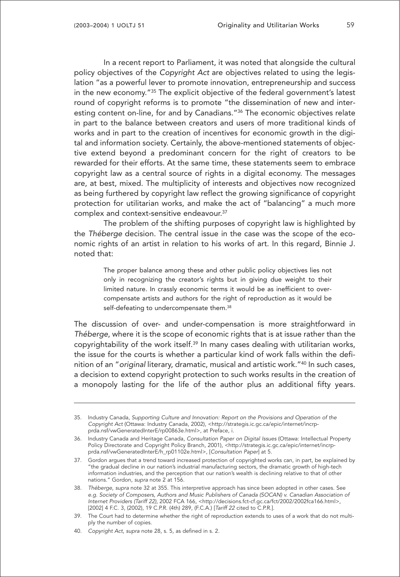In a recent report to Parliament, it was noted that alongside the cultural policy objectives of the Copyright Act are objectives related to using the legislation "as a powerful lever to promote innovation, entrepreneurship and success in the new economy."35 The explicit objective of the federal government's latest round of copyright reforms is to promote "the dissemination of new and interesting content on-line, for and by Canadians."<sup>36</sup> The economic objectives relate in part to the balance between creators and users of more traditional kinds of works and in part to the creation of incentives for economic growth in the digital and information society. Certainly, the above-mentioned statements of objective extend beyond a predominant concern for the right of creators to be rewarded for their efforts. At the same time, these statements seem to embrace copyright law as a central source of rights in a digital economy. The messages are, at best, mixed. The multiplicity of interests and objectives now recognized as being furthered by copyright law reflect the growing significance of copyright protection for utilitarian works, and make the act of "balancing" a much more complex and context-sensitive endeavour.37

The problem of the shifting purposes of copyright law is highlighted by the Théberge decision. The central issue in the case was the scope of the economic rights of an artist in relation to his works of art. In this regard, Binnie J. noted that:

> The proper balance among these and other public policy objectives lies not only in recognizing the creator's rights but in giving due weight to their limited nature. In crassly economic terms it would be as inefficient to overcompensate artists and authors for the right of reproduction as it would be self-defeating to undercompensate them.<sup>38</sup>

The discussion of over- and under-compensation is more straightforward in Théberge, where it is the scope of economic rights that is at issue rather than the copyrightability of the work itself.39 In many cases dealing with utilitarian works, the issue for the courts is whether a particular kind of work falls within the definition of an "original literary, dramatic, musical and artistic work."40 In such cases, a decision to extend copyright protection to such works results in the creation of a monopoly lasting for the life of the author plus an additional fifty years.

<sup>35.</sup> Industry Canada, Supporting Culture and Innovation: Report on the Provisions and Operation of the Copyright Act (Ottawa: Industry Canada, 2002), <http://strategis.ic.gc.ca/epic/internet/incrpprda.nsf/vwGeneratedInterE/rp00863e.html>, at Preface, i.

<sup>36.</sup> Industry Canada and Heritage Canada, Consultation Paper on Digital Issues (Ottawa: Intellectual Property Policy Directorate and Copyright Policy Branch, 2001), <http://strategis.ic.gc.ca/epic/internet/incrpprda.nsf/vwGeneratedInterE/h\_rp01102e.html>, [Consultation Paper] at 5.

<sup>37.</sup> Gordon argues that a trend toward increased protection of copyrighted works can, in part, be explained by "the gradual decline in our nation's industrial manufacturing sectors, the dramatic growth of high-tech information industries, and the perception that our nation's wealth is declining relative to that of other nations." Gordon, supra note 2 at 156.

<sup>38.</sup> Théberge, supra note 32 at 355. This interpretive approach has since been adopted in other cases. See e.g. Society of Composers, Authors and Music Publishers of Canada (SOCAN) v. Canadian Association of Internet Providers (Tariff 22), 2002 FCA 166, <http://decisions.fct-cf.gc.ca/fct/2002/2002fca166.html>, [2002] 4 F.C. 3, (2002), 19 C.P.R. (4th) 289, (F.C.A.) [Tariff 22 cited to C.P.R.].

<sup>39.</sup> The Court had to determine whether the right of reproduction extends to uses of a work that do not multiply the number of copies.

<sup>40.</sup> Copyright Act, supra note 28, s. 5, as defined in s. 2.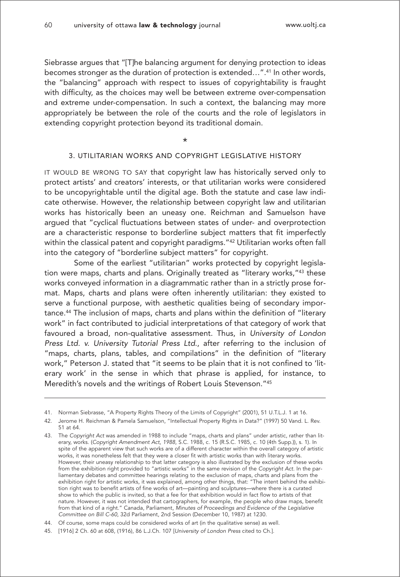Siebrasse argues that "[T]he balancing argument for denying protection to ideas becomes stronger as the duration of protection is extended…".41 In other words, the "balancing" approach with respect to issues of copyrightability is fraught with difficulty, as the choices may well be between extreme over-compensation and extreme under-compensation. In such a context, the balancing may more appropriately be between the role of the courts and the role of legislators in extending copyright protection beyond its traditional domain.

\*

### 3. UTILITARIAN WORKS AND COPYRIGHT LEGISLATIVE HISTORY

IT WOULD BE WRONG TO SAY that copyright law has historically served only to protect artists' and creators' interests, or that utilitarian works were considered to be uncopyrightable until the digital age. Both the statute and case law indicate otherwise. However, the relationship between copyright law and utilitarian works has historically been an uneasy one. Reichman and Samuelson have argued that "cyclical fluctuations between states of under- and overprotection are a characteristic response to borderline subject matters that fit imperfectly within the classical patent and copyright paradigms."<sup>42</sup> Utilitarian works often fall into the category of "borderline subject matters" for copyright.

Some of the earliest "utilitarian" works protected by copyright legislation were maps, charts and plans. Originally treated as "literary works,"43 these works conveyed information in a diagrammatic rather than in a strictly prose format. Maps, charts and plans were often inherently utilitarian: they existed to serve a functional purpose, with aesthetic qualities being of secondary importance.44 The inclusion of maps, charts and plans within the definition of "literary work" in fact contributed to judicial interpretations of that category of work that favoured a broad, non-qualitative assessment. Thus, in University of London Press Ltd. v. University Tutorial Press Ltd., after referring to the inclusion of "maps, charts, plans, tables, and compilations" in the definition of "literary work," Peterson J. stated that "it seems to be plain that it is not confined to 'literary work' in the sense in which that phrase is applied, for instance, to Meredith's novels and the writings of Robert Louis Stevenson."45

<sup>41.</sup> Norman Siebrasse, "A Property Rights Theory of the Limits of Copyright" (2001), 51 U.T.L.J. 1 at 16.

<sup>42.</sup> Jerome H. Reichman & Pamela Samuelson, "Intellectual Property Rights in Data?" (1997) 50 Vand. L. Rev. 51 at 64.

<sup>43.</sup> The Copyright Act was amended in 1988 to include "maps, charts and plans" under artistic, rather than literary, works. (Copyright Amendment Act, 1988, S.C. 1988, c. 15 (R.S.C. 1985, c. 10 (4th Supp.)), s. 1). In spite of the apparent view that such works are of a different character within the overall category of artistic works, it was nonetheless felt that they were a closer fit with artistic works than with literary works. However, their uneasy relationship to that latter category is also illustrated by the exclusion of these works from the exhibition right provided to "artistic works" in the same revision of the Copyright Act. In the parliamentary debates and committee hearings relating to the exclusion of maps, charts and plans from the exhibition right for artistic works, it was explained, among other things, that: "The intent behind the exhibition right was to benefit artists of fine works of art—painting and sculptures—where there is a curated show to which the public is invited, so that a fee for that exhibition would in fact flow to artists of that nature. However, it was not intended that cartographers, for example, the people who draw maps, benefit from that kind of a right." Canada, Parliament, Minutes of Proceedings and Evidence of the Legislative Committee on Bill C-60, 32d Parliament, 2nd Session (December 10, 1987) at 1230.

<sup>44.</sup> Of course, some maps could be considered works of art (in the qualitative sense) as well.

<sup>45. [1916] 2</sup> Ch. 60 at 608, (1916), 86 L.J.Ch. 107 [University of London Press cited to Ch.].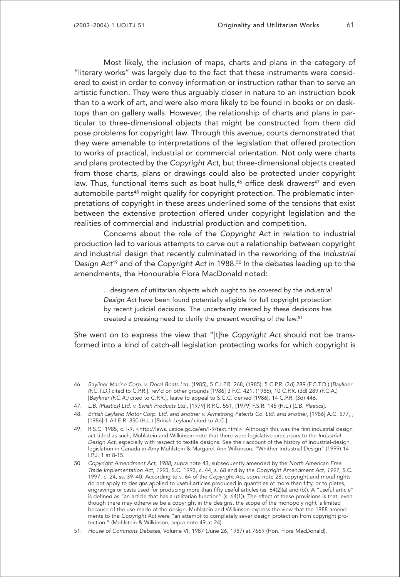Most likely, the inclusion of maps, charts and plans in the category of "literary works" was largely due to the fact that these instruments were considered to exist in order to convey information or instruction rather than to serve an artistic function. They were thus arguably closer in nature to an instruction book than to a work of art, and were also more likely to be found in books or on desktops than on gallery walls. However, the relationship of charts and plans in particular to three-dimensional objects that might be constructed from them did pose problems for copyright law. Through this avenue, courts demonstrated that they were amenable to interpretations of the legislation that offered protection to works of practical, industrial or commercial orientation. Not only were charts and plans protected by the Copyright Act, but three-dimensional objects created from those charts, plans or drawings could also be protected under copyright law. Thus, functional items such as boat hulls,<sup>46</sup> office desk drawers<sup>47</sup> and even automobile parts<sup>48</sup> might qualify for copyright protection. The problematic interpretations of copyright in these areas underlined some of the tensions that exist between the extensive protection offered under copyright legislation and the realities of commercial and industrial production and competition.

Concerns about the role of the Copyright Act in relation to industrial production led to various attempts to carve out a relationship between copyright and industrial design that recently culminated in the reworking of the Industrial Design Act<sup>49</sup> and of the Copyright Act in 1988.<sup>50</sup> In the debates leading up to the amendments, the Honourable Flora MacDonald noted:

> …designers of utilitarian objects which ought to be covered by the Industrial Design Act have been found potentially eligible for full copyright protection by recent judicial decisions. The uncertainty created by these decisions has created a pressing need to clarify the present wording of the law.51

She went on to express the view that "[t]he Copyright Act should not be transformed into a kind of catch-all legislation protecting works for which copyright is

<sup>46.</sup> Bayliner Marine Corp. v. Doral Boats Ltd. (1985), 5 C.I.P.R. 268, (1985), 5 C.P.R. (3d) 289 (F.C.T.D.) [Bayliner (F.C.T.D.) cited to C.P.R.], rev'd on other grounds [1986] 3 F.C. 421, (1986), 10 C.P.R. (3d) 289 (F.C.A.) [Bayliner (F.C.A.) cited to C.P.R.], leave to appeal to S.C.C. denied (1986), 14 C.P.R. (3d) 446.

<sup>47.</sup> L.B. (Plastics) Ltd. v. Swish Products Ltd., [1979] R.P.C. 551, [1979] F.S.R. 145 (H.L.) [L.B. Plastics].

<sup>48.</sup> British Leyland Motor Corp. Ltd. and another v. Armstrong Patents Co. Ltd. and another, [1986] A.C. 577, , [1986] 1 All E.R. 850 (H.L.) [British Leyland cited to A.C.].

<sup>49.</sup> R.S.C. 1985, c. I-9, <http://laws.justice.gc.ca/en/I-9/text.html>. Although this was the first industrial design act titled as such, Muhlstein and Wilkinson note that there were legislative precursors to the Industrial Design Act, especially with respect to textile designs. See their account of the history of industrial-design legislation in Canada in Amy Muhlstein & Margaret Ann Wilkinson, "Whither Industrial Design" (1999) 14 I.P.J. 1 at 8-15.

<sup>50.</sup> Copyright Amendment Act, 1988, supra note 43, subsequently amended by the North American Free Trade Implementation Act, 1993, S.C. 1993, c. 44, s. 68 and by the Copyright Amendment Act, 1997, S.C. 1997, c. 24, ss. 39–40. According to s. 64 of the Copyright Act, supra note 28, copyright and moral rights do not apply to designs applied to useful articles produced in quantities of more than fifty, or to plates, engravings or casts used for producing more than fifty useful articles (ss. 64(2)(a) and (b)). A "useful article" is defined as "an article that has a utilitarian function" (s. 64(1)). The effect of these provisions is that, even though there may otherwise be a copyright in the designs, the scope of the monopoly right is limited because of the use made of the design. Muhlstein and Wilkinson express the view that the 1988 amendments to the Copyright Act were "an attempt to completely sever design protection from copyright protection." (Muhlstein & Wilkinson, supra note 49 at 24).

<sup>51.</sup> House of Commons Debates, Volume VI, 1987 (June 26, 1987) at 7669 (Hon. Flora MacDonald).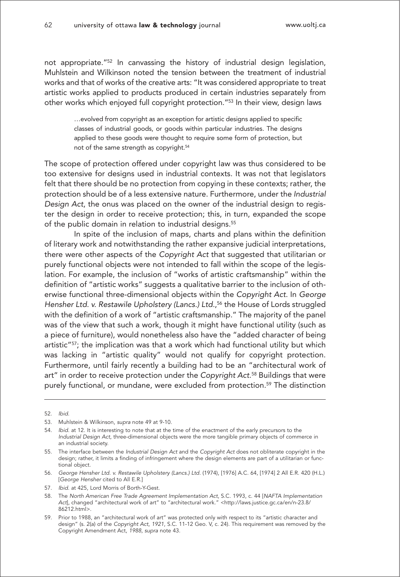not appropriate."52 In canvassing the history of industrial design legislation, Muhlstein and Wilkinson noted the tension between the treatment of industrial works and that of works of the creative arts: "It was considered appropriate to treat artistic works applied to products produced in certain industries separately from other works which enjoyed full copyright protection."53 In their view, design laws

> …evolved from copyright as an exception for artistic designs applied to specific classes of industrial goods, or goods within particular industries. The designs applied to these goods were thought to require some form of protection, but not of the same strength as copyright.<sup>54</sup>

The scope of protection offered under copyright law was thus considered to be too extensive for designs used in industrial contexts. It was not that legislators felt that there should be no protection from copying in these contexts; rather, the protection should be of a less extensive nature. Furthermore, under the Industrial Design Act, the onus was placed on the owner of the industrial design to register the design in order to receive protection; this, in turn, expanded the scope of the public domain in relation to industrial designs.<sup>55</sup>

In spite of the inclusion of maps, charts and plans within the definition of literary work and notwithstanding the rather expansive judicial interpretations, there were other aspects of the Copyright Act that suggested that utilitarian or purely functional objects were not intended to fall within the scope of the legislation. For example, the inclusion of "works of artistic craftsmanship" within the definition of "artistic works" suggests a qualitative barrier to the inclusion of otherwise functional three-dimensional objects within the Copyright Act. In George Hensher Ltd. v. Restawile Upholstery (Lancs.) Ltd., <sup>56</sup> the House of Lords struggled with the definition of a work of "artistic craftsmanship." The majority of the panel was of the view that such a work, though it might have functional utility (such as a piece of furniture), would nonetheless also have the "added character of being artistic"57; the implication was that a work which had functional utility but which was lacking in "artistic quality" would not qualify for copyright protection. Furthermore, until fairly recently a building had to be an "architectural work of art" in order to receive protection under the Copyright Act.<sup>58</sup> Buildings that were purely functional, or mundane, were excluded from protection.<sup>59</sup> The distinction

<sup>52.</sup> Ibid.

<sup>53.</sup> Muhlstein & Wilkinson, supra note 49 at 9-10.

<sup>54.</sup> Ibid. at 12. It is interesting to note that at the time of the enactment of the early precursors to the Industrial Design Act, three-dimensional objects were the more tangible primary objects of commerce in an industrial society.

<sup>55.</sup> The interface between the Industrial Design Act and the Copyright Act does not obliterate copyright in the design; rather, it limits a finding of infringement where the design elements are part of a utilitarian or functional object.

<sup>56.</sup> George Hensher Ltd. v. Restawile Upholstery (Lancs.) Ltd. (1974), [1976] A.C. 64, [1974] 2 All E.R. 420 (H.L.) [George Hensher cited to All E.R.]

<sup>57.</sup> Ibid. at 425, Lord Morris of Borth-Y-Gest.

<sup>58.</sup> The North American Free Trade Agreement Implementation Act, S.C. 1993, c. 44 [NAFTA Implementation Act], changed "architectural work of art" to "architectural work." <http://laws.justice.gc.ca/en/n-23.8/ 86212.html>.

<sup>59.</sup> Prior to 1988, an "architectural work of art" was protected only with respect to its "artistic character and design" (s. 2(a) of the Copyright Act, 1921, S.C. 11-12 Geo. V, c. 24). This requirement was removed by the Copyright Amendment Act, 1988, supra note 43.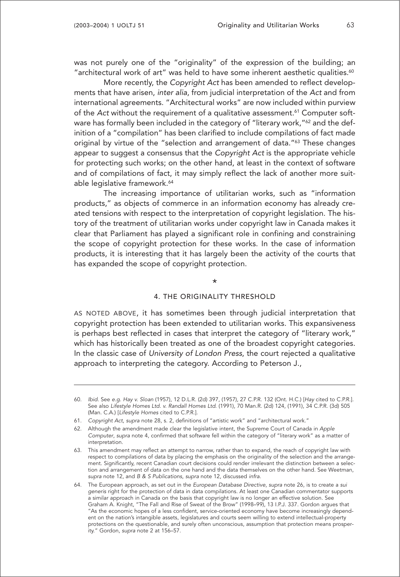was not purely one of the "originality" of the expression of the building; an "architectural work of art" was held to have some inherent aesthetic qualities. $60$ 

More recently, the Copyright Act has been amended to reflect developments that have arisen, inter alia, from judicial interpretation of the Act and from international agreements. "Architectural works" are now included within purview of the Act without the requirement of a qualitative assessment.<sup>61</sup> Computer software has formally been included in the category of "literary work,"<sup>62</sup> and the definition of a "compilation" has been clarified to include compilations of fact made original by virtue of the "selection and arrangement of data."63 These changes appear to suggest a consensus that the Copyright Act is the appropriate vehicle for protecting such works; on the other hand, at least in the context of software and of compilations of fact, it may simply reflect the lack of another more suitable legislative framework.<sup>64</sup>

The increasing importance of utilitarian works, such as "information products," as objects of commerce in an information economy has already created tensions with respect to the interpretation of copyright legislation. The history of the treatment of utilitarian works under copyright law in Canada makes it clear that Parliament has played a significant role in confining and constraining the scope of copyright protection for these works. In the case of information products, it is interesting that it has largely been the activity of the courts that has expanded the scope of copyright protection.

\*

#### 4. THE ORIGINALITY THRESHOLD

AS NOTED ABOVE, it has sometimes been through judicial interpretation that copyright protection has been extended to utilitarian works. This expansiveness is perhaps best reflected in cases that interpret the category of "literary work," which has historically been treated as one of the broadest copyright categories. In the classic case of University of London Press, the court rejected a qualitative approach to interpreting the category. According to Peterson J.,

<sup>60.</sup> Ibid. See e.g. Hay v. Sloan (1957), 12 D.L.R. (2d) 397, (1957), 27 C.P.R. 132 (Ont. H.C.) [Hay cited to C.P.R.]. See also Lifestyle Homes Ltd. v. Randall Homes Ltd. (1991), 70 Man.R. (2d) 124, (1991), 34 C.P.R. (3d) 505 (Man. C.A.) [Lifestyle Homes cited to C.P.R.].

<sup>61.</sup> Copyright Act, supra note 28, s. 2, definitions of "artistic work" and "architectural work."

<sup>62.</sup> Although the amendment made clear the legislative intent, the Supreme Court of Canada in Apple Computer, supra note 4, confirmed that software fell within the category of "literary work" as a matter of interpretation.

<sup>63.</sup> This amendment may reflect an attempt to narrow, rather than to expand, the reach of copyright law with respect to compilations of data by placing the emphasis on the originality of the selection and the arrangement. Significantly, recent Canadian court decisions could render irrelevant the distinction between a selection and arrangement of data on the one hand and the data themselves on the other hand. See Weetman, supra note 12, and B & S Publications, supra note 12, discussed infra.

<sup>64.</sup> The European approach, as set out in the European Database Directive, supra note 26, is to create a sui generis right for the protection of data in data compilations. At least one Canadian commentator supports a similar approach in Canada on the basis that copyright law is no longer an effective solution. See Graham A. Knight, "The Fall and Rise of Sweat of the Brow" (1998–99), 13 I.P.J. 337. Gordon argues that "As the economic hopes of a less confident, service-oriented economy have become increasingly dependent on the nation's intangible assets, legislatures and courts seem willing to extend intellectual-property protections on the questionable, and surely often unconscious, assumption that protection means prosperity." Gordon, supra note 2 at 156–57.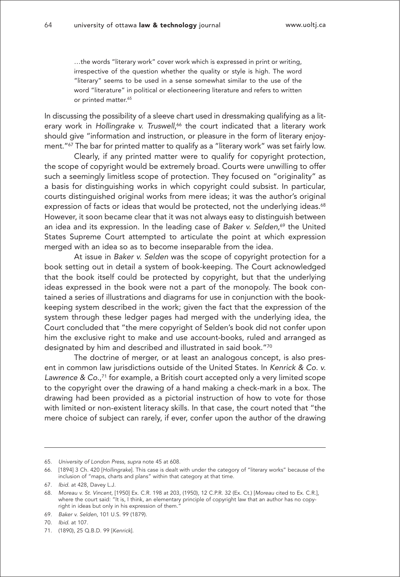…the words "literary work" cover work which is expressed in print or writing, irrespective of the question whether the quality or style is high. The word "literary" seems to be used in a sense somewhat similar to the use of the word "literature" in political or electioneering literature and refers to written or printed matter.<sup>65</sup>

In discussing the possibility of a sleeve chart used in dressmaking qualifying as a literary work in Hollingrake v. Truswell, <sup>66</sup> the court indicated that a literary work should give "information and instruction, or pleasure in the form of literary enjoyment."67 The bar for printed matter to qualify as a "literary work" was set fairly low.

Clearly, if any printed matter were to qualify for copyright protection, the scope of copyright would be extremely broad. Courts were unwilling to offer such a seemingly limitless scope of protection. They focused on "originality" as a basis for distinguishing works in which copyright could subsist. In particular, courts distinguished original works from mere ideas; it was the author's original expression of facts or ideas that would be protected, not the underlying ideas.<sup>68</sup> However, it soon became clear that it was not always easy to distinguish between an idea and its expression. In the leading case of *Baker v. Selden,<sup>69</sup> t*he United States Supreme Court attempted to articulate the point at which expression merged with an idea so as to become inseparable from the idea.

At issue in Baker v. Selden was the scope of copyright protection for a book setting out in detail a system of book-keeping. The Court acknowledged that the book itself could be protected by copyright, but that the underlying ideas expressed in the book were not a part of the monopoly. The book contained a series of illustrations and diagrams for use in conjunction with the bookkeeping system described in the work; given the fact that the expression of the system through these ledger pages had merged with the underlying idea, the Court concluded that "the mere copyright of Selden's book did not confer upon him the exclusive right to make and use account-books, ruled and arranged as designated by him and described and illustrated in said book."70

The doctrine of merger, or at least an analogous concept, is also present in common law jurisdictions outside of the United States. In Kenrick & Co. v. Lawrence & Co.,<sup>71</sup> for example, a British court accepted only a very limited scope to the copyright over the drawing of a hand making a check-mark in a box. The drawing had been provided as a pictorial instruction of how to vote for those with limited or non-existent literacy skills. In that case, the court noted that "the mere choice of subject can rarely, if ever, confer upon the author of the drawing

71. (1890), 25 Q.B.D. 99 [Kenrick].

<sup>65.</sup> University of London Press, supra note 45 at 608.

<sup>66. [1894] 3</sup> Ch. 420 [Hollingrake]. This case is dealt with under the category of "literary works" because of the inclusion of "maps, charts and plans" within that category at that time.

<sup>67.</sup> Ibid. at 428, Davey L.J.

<sup>68.</sup> Moreau v. St. Vincent, [1950] Ex. C.R. 198 at 203, (1950), 12 C.P.R. 32 (Ex. Ct.) [Moreau cited to Ex. C.R.], where the court said: "It is, I think, an elementary principle of copyright law that an author has no copy-<br>where the court said: "It is, I think, an elementary principle of copyright law that an author has no copyright in ideas but only in his expression of them.<sup>7</sup>

<sup>69.</sup> Baker v. Selden, 101 U.S. 99 (1879).

<sup>70.</sup> Ibid. at 107.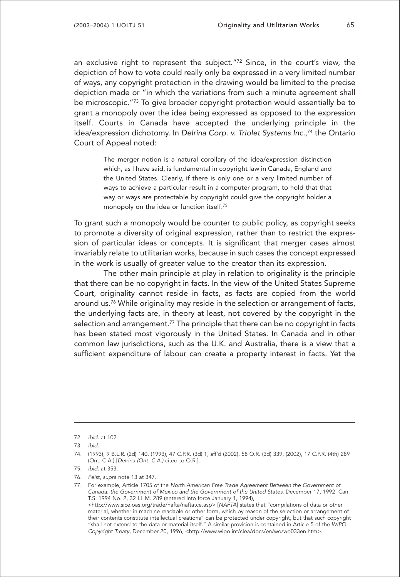an exclusive right to represent the subject."72 Since, in the court's view, the depiction of how to vote could really only be expressed in a very limited number of ways, any copyright protection in the drawing would be limited to the precise depiction made or "in which the variations from such a minute agreement shall be microscopic."73 To give broader copyright protection would essentially be to grant a monopoly over the idea being expressed as opposed to the expression itself. Courts in Canada have accepted the underlying principle in the idea/expression dichotomy. In Delrina Corp. v. Triolet Systems Inc., <sup>74</sup> the Ontario Court of Appeal noted:

> The merger notion is a natural corollary of the idea/expression distinction which, as I have said, is fundamental in copyright law in Canada, England and the United States. Clearly, if there is only one or a very limited number of ways to achieve a particular result in a computer program, to hold that that way or ways are protectable by copyright could give the copyright holder a monopoly on the idea or function itself.<sup>75</sup>

To grant such a monopoly would be counter to public policy, as copyright seeks to promote a diversity of original expression, rather than to restrict the expression of particular ideas or concepts. It is significant that merger cases almost invariably relate to utilitarian works, because in such cases the concept expressed in the work is usually of greater value to the creator than its expression.

The other main principle at play in relation to originality is the principle that there can be no copyright in facts. In the view of the United States Supreme Court, originality cannot reside in facts, as facts are copied from the world around us.<sup>76</sup> While originality may reside in the selection or arrangement of facts, the underlying facts are, in theory at least, not covered by the copyright in the selection and arrangement.<sup>77</sup> The principle that there can be no copyright in facts has been stated most vigorously in the United States. In Canada and in other common law jurisdictions, such as the U.K. and Australia, there is a view that a sufficient expenditure of labour can create a property interest in facts. Yet the

<sup>72.</sup> Ibid. at 102.

<sup>73.</sup> Ibid.

<sup>74. (1993), 9</sup> B.L.R. (2d) 140, (1993), 47 C.P.R. (3d) 1, aff'd (2002), 58 O.R. (3d) 339, (2002), 17 C.P.R. (4th) 289 (Ont. C.A.) [Delrina (Ont. C.A.) cited to O.R.].

<sup>75.</sup> Ibid. at 353.

<sup>76.</sup> Feist, supra note 13 at 347.

<sup>77.</sup> For example, Article 1705 of the North American Free Trade Agreement Between the Government of Canada, the Government of Mexico and the Government of the United States, December 17, 1992, Can. T.S. 1994 No. 2, 32 I.L.M. 289 (entered into force January 1, 1994), <http://www.sice.oas.org/trade/nafta/naftatce.asp> [NAFTA] states that "compilations of data or other material, whether in machine readable or other form, which by reason of the selection or arrangement of their contents constitute intellectual creations" can be protected under copyright, but that such copyright "shall not extend to the data or material itself." A similar provision is contained in Article 5 of the WIPO Copyright Treaty, December 20, 1996, <http://www.wipo.int/clea/docs/en/wo/wo033en.htm>.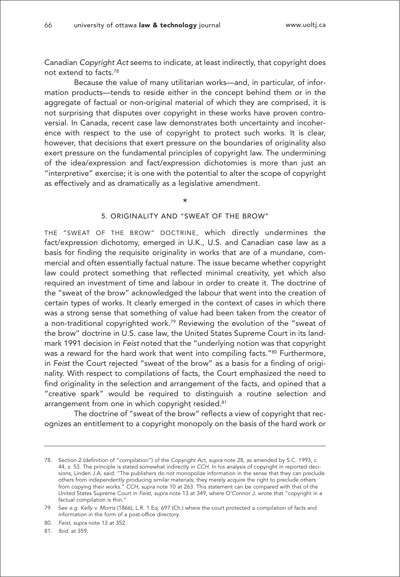Canadian Copyright Act seems to indicate, at least indirectly, that copyright does not extend to facts.78

Because the value of many utilitarian works—and, in particular, of information products—tends to reside either in the concept behind them or in the aggregate of factual or non-original material of which they are comprised, it is not surprising that disputes over copyright in these works have proven controversial. In Canada, recent case law demonstrates both uncertainty and incoherence with respect to the use of copyright to protect such works. It is clear, however, that decisions that exert pressure on the boundaries of originality also exert pressure on the fundamental principles of copyright law. The undermining of the idea/expression and fact/expression dichotomies is more than just an "interpretive" exercise; it is one with the potential to alter the scope of copyright as effectively and as dramatically as a legislative amendment.

\*

### 5. ORIGINALITY AND "SWEAT OF THE BROW"

THE "SWEAT OF THE BROW" DOCTRINE, which directly undermines the fact/expression dichotomy, emerged in U.K., U.S. and Canadian case law as a basis for finding the requisite originality in works that are of a mundane, commercial and often essentially factual nature. The issue became whether copyright law could protect something that reflected minimal creativity, yet which also required an investment of time and labour in order to create it. The doctrine of the "sweat of the brow" acknowledged the labour that went into the creation of certain types of works. It clearly emerged in the context of cases in which there was a strong sense that something of value had been taken from the creator of a non-traditional copyrighted work.79 Reviewing the evolution of the "sweat of the brow" doctrine in U.S. case law, the United States Supreme Court in its landmark 1991 decision in Feist noted that the "underlying notion was that copyright was a reward for the hard work that went into compiling facts."<sup>80</sup> Furthermore, in Feist the Court rejected "sweat of the brow" as a basis for a finding of originality. With respect to compilations of facts, the Court emphasized the need to find originality in the selection and arrangement of the facts, and opined that a "creative spark" would be required to distinguish a routine selection and arrangement from one in which copyright resided.<sup>81</sup>

The doctrine of "sweat of the brow" reflects a view of copyright that recognizes an entitlement to a copyright monopoly on the basis of the hard work or

81. Ibid. at 359.

<sup>78.</sup> Section 2 (definition of "compilation") of the Copyright Act, supra note 28, as amended by S.C. 1993, c. 44, s. 53. The principle is stated somewhat indirectly in CCH. In his analysis of copyright in reported decisions, Linden J.A. said: "The publishers do not monopolize information in the sense that they can preclude others from independently producing similar materials; they merely acquire the right to preclude others from copying their works." CCH, supra note 10 at 263. This statement can be compared with that of the United States Supreme Court in Feist, supra note 13 at 349, where O'Connor J. wrote that "copyright in a factual compilation is thin."

<sup>79.</sup> See e.g. Kelly v. Morris (1866), L.R. 1 Eq. 697 (Ch.) where the court protected a compilation of facts and information in the form of a post-office directory.

<sup>80.</sup> Feist, supra note 13 at 352.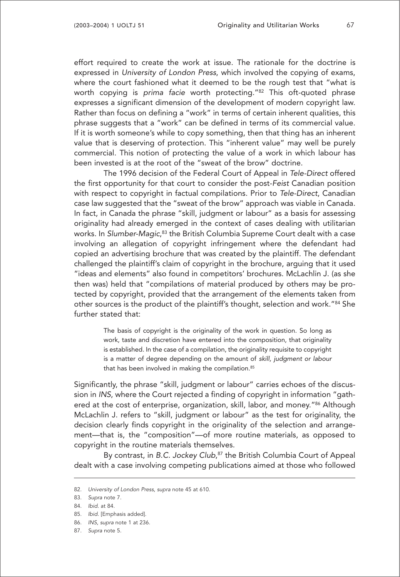effort required to create the work at issue. The rationale for the doctrine is expressed in University of London Press, which involved the copying of exams, where the court fashioned what it deemed to be the rough test that "what is worth copying is prima facie worth protecting."82 This oft-quoted phrase expresses a significant dimension of the development of modern copyright law. Rather than focus on defining a "work" in terms of certain inherent qualities, this phrase suggests that a "work" can be defined in terms of its commercial value. If it is worth someone's while to copy something, then that thing has an inherent value that is deserving of protection. This "inherent value" may well be purely commercial. This notion of protecting the value of a work in which labour has been invested is at the root of the "sweat of the brow" doctrine.

The 1996 decision of the Federal Court of Appeal in Tele-Direct offered the first opportunity for that court to consider the post-Feist Canadian position with respect to copyright in factual compilations. Prior to Tele-Direct, Canadian case law suggested that the "sweat of the brow" approach was viable in Canada. In fact, in Canada the phrase "skill, judgment or labour" as a basis for assessing originality had already emerged in the context of cases dealing with utilitarian works. In *Slumber-Magic,*83 the British Columbia Supreme Court dealt with a case involving an allegation of copyright infringement where the defendant had copied an advertising brochure that was created by the plaintiff. The defendant challenged the plaintiff's claim of copyright in the brochure, arguing that it used "ideas and elements" also found in competitors' brochures. McLachlin J. (as she then was) held that "compilations of material produced by others may be protected by copyright, provided that the arrangement of the elements taken from other sources is the product of the plaintiff's thought, selection and work."84 She further stated that:

> The basis of copyright is the originality of the work in question. So long as work, taste and discretion have entered into the composition, that originality is established. In the case of a compilation, the originality requisite to copyright is a matter of degree depending on the amount of skill, judgment or labour that has been involved in making the compilation.<sup>85</sup>

Significantly, the phrase "skill, judgment or labour" carries echoes of the discussion in INS, where the Court rejected a finding of copyright in information "gathered at the cost of enterprise, organization, skill, labor, and money."<sup>86</sup> Although McLachlin J. refers to "skill, judgment or labour" as the test for originality, the decision clearly finds copyright in the originality of the selection and arrangement—that is, the "composition"—of more routine materials, as opposed to copyright in the routine materials themselves.

By contrast, in B.C. Jockey Club,<sup>87</sup> the British Columbia Court of Appeal dealt with a case involving competing publications aimed at those who followed

<sup>82.</sup> University of London Press, supra note 45 at 610.

<sup>83.</sup> Supra note 7.

<sup>84.</sup> Ibid. at 84.

<sup>85.</sup> Ibid. [Emphasis added].

<sup>86.</sup> INS, supra note 1 at 236.

<sup>87.</sup> Supra note 5.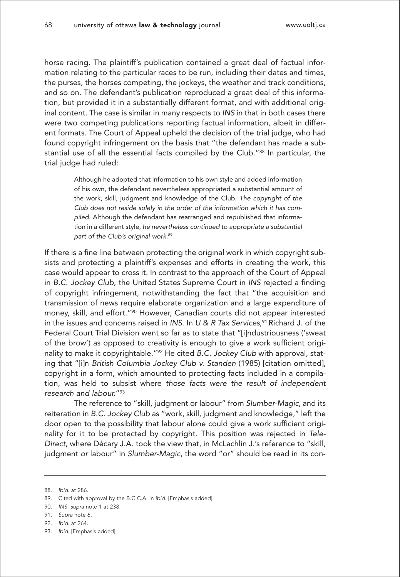horse racing. The plaintiff's publication contained a great deal of factual information relating to the particular races to be run, including their dates and times, the purses, the horses competing, the jockeys, the weather and track conditions, and so on. The defendant's publication reproduced a great deal of this information, but provided it in a substantially different format, and with additional original content. The case is similar in many respects to INS in that in both cases there were two competing publications reporting factual information, albeit in different formats. The Court of Appeal upheld the decision of the trial judge, who had found copyright infringement on the basis that "the defendant has made a substantial use of all the essential facts compiled by the Club."88 In particular, the trial judge had ruled:

> Although he adopted that information to his own style and added information of his own, the defendant nevertheless appropriated a substantial amount of the work, skill, judgment and knowledge of the Club. The copyright of the Club does not reside solely in the order of the information which it has compiled. Although the defendant has rearranged and republished that information in a different style, he nevertheless continued to appropriate a substantial part of the Club's original work.<sup>89</sup>

If there is a fine line between protecting the original work in which copyright subsists and protecting a plaintiff's expenses and efforts in creating the work, this case would appear to cross it. In contrast to the approach of the Court of Appeal in B.C. Jockey Club, the United States Supreme Court in INS rejected a finding of copyright infringement, notwithstanding the fact that "the acquisition and transmission of news require elaborate organization and a large expenditure of money, skill, and effort."<sup>90</sup> However, Canadian courts did not appear interested in the issues and concerns raised in INS. In U & R Tax Services, $^{91}$  Richard J. of the Federal Court Trial Division went so far as to state that "[i]ndustriousness ('sweat of the brow') as opposed to creativity is enough to give a work sufficient originality to make it copyrightable."<sup>92</sup> He cited B.C. Jockey Club with approval, stating that "[i]n British Columbia Jockey Club v. Standen (1985) [citation omitted], copyright in a form, which amounted to protecting facts included in a compilation, was held to subsist where those facts were the result of independent research and labour."93

The reference to "skill, judgment or labour" from Slumber-Magic, and its reiteration in B.C. Jockey Club as "work, skill, judgment and knowledge," left the door open to the possibility that labour alone could give a work sufficient originality for it to be protected by copyright. This position was rejected in Tele-Direct, where Décary J.A. took the view that, in McLachlin J.'s reference to "skill, judgment or labour" in Slumber-Magic, the word "or" should be read in its con-

<sup>88.</sup> Ibid. at 286.

<sup>89.</sup> Cited with approval by the B.C.C.A. in ibid. [Emphasis added].

<sup>90.</sup> INS, supra note 1 at 238.

<sup>91.</sup> Supra note 6.

<sup>92.</sup> Ibid. at 264.

<sup>93.</sup> Ibid. [Emphasis added].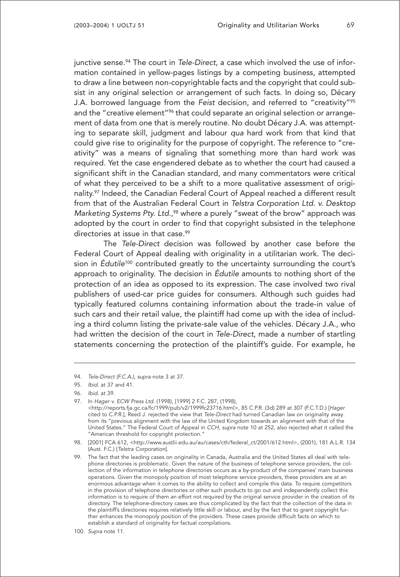junctive sense.<sup>94</sup> The court in Tele-Direct, a case which involved the use of information contained in yellow-pages listings by a competing business, attempted to draw a line between non-copyrightable facts and the copyright that could subsist in any original selection or arrangement of such facts. In doing so, Décary J.A. borrowed language from the Feist decision, and referred to "creativity"95 and the "creative element"<sup>96</sup> that could separate an original selection or arrangement of data from one that is merely routine. No doubt Décary J.A. was attempting to separate skill, judgment and labour qua hard work from that kind that could give rise to originality for the purpose of copyright. The reference to "creativity" was a means of signaling that something more than hard work was required. Yet the case engendered debate as to whether the court had caused a significant shift in the Canadian standard, and many commentators were critical of what they perceived to be a shift to a more qualitative assessment of originality.97 Indeed, the Canadian Federal Court of Appeal reached a different result from that of the Australian Federal Court in Telstra Corporation Ltd. v. Desktop Marketing Systems Pty. Ltd.,<sup>98</sup> where a purely "sweat of the brow" approach was adopted by the court in order to find that copyright subsisted in the telephone directories at issue in that case.<sup>99</sup>

The Tele-Direct decision was followed by another case before the Federal Court of Appeal dealing with originality in a utilitarian work. The decision in Édutile<sup>100</sup> contributed greatly to the uncertainty surrounding the court's approach to originality. The decision in Édutile amounts to nothing short of the protection of an idea as opposed to its expression. The case involved two rival publishers of used-car price guides for consumers. Although such guides had typically featured columns containing information about the trade-in value of such cars and their retail value, the plaintiff had come up with the idea of including a third column listing the private-sale value of the vehicles. Décary J.A., who had written the decision of the court in Tele-Direct, made a number of startling statements concerning the protection of the plaintiff's guide. For example, he

97. In Hager v. ECW Press Ltd. (1998), [1999] 2 F.C. 287, (1998),

<sup>94.</sup> Tele-Direct (F.C.A.), supra note 3 at 37.

<sup>95.</sup> Ibid. at 37 and 41.

<sup>96.</sup> Ibid. at 39.

<sup>&</sup>lt;http://reports.fja.gc.ca/fc/1999/pub/v2/1999fc23716.html>, 85 C.P.R. (3d) 289 at 307 (F.C.T.D.) [Hager cited to C.P.R.], Reed J. rejected the view that Tele-Direct had turned Canadian law on originality away from its "previous alignment with the law of the United Kingdom towards an alignment with that of the United States." The Federal Court of Appeal in CCH, supra note 10 at 252, also rejected what it called the "American threshold for copyright protection."

<sup>98. [2001]</sup> FCA 612, <http://www.austlii.edu.au/au/cases/cth/federal\_ct/2001/612.html>, (2001), 181 A.L.R. 134 (Aust. F.C.) [Telstra Corporation].

<sup>99.</sup> The fact that the leading cases on originality in Canada, Australia and the United States all deal with telephone directories is problematic. Given the nature of the business of telephone service providers, the collection of the information in telephone directories occurs as a by-product of the companies' main business operations. Given the monopoly position of most telephone service providers, these providers are at an enormous advantage when it comes to the ability to collect and compile this data. To require competitors in the provision of telephone directories or other such products to go out and independently collect this information is to require of them an effort not required by the original service provider in the creation of its directory. The telephone-directory cases are thus complicated by the fact that the collection of the data in the plaintiff's directories requires relatively little skill or labour, and by the fact that to grant copyright further enhances the monopoly position of the providers. These cases provide difficult facts on which to establish a standard of originality for factual compilations.

<sup>100.</sup> Supra note 11.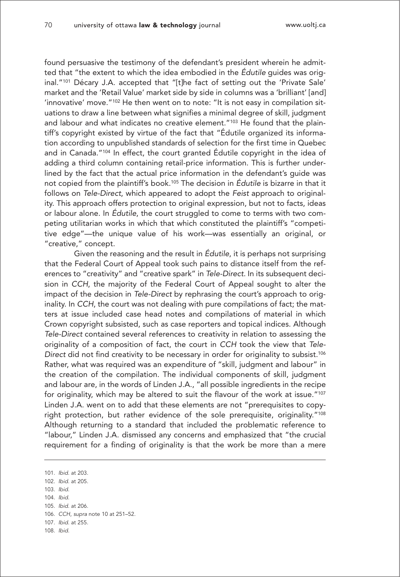found persuasive the testimony of the defendant's president wherein he admitted that "the extent to which the idea embodied in the Édutile guides was original."101 Décary J.A. accepted that "[t]he fact of setting out the 'Private Sale' market and the 'Retail Value' market side by side in columns was a 'brilliant' [and] 'innovative' move."<sup>102</sup> He then went on to note: "It is not easy in compilation situations to draw a line between what signifies a minimal degree of skill, judgment and labour and what indicates no creative element."<sup>103</sup> He found that the plaintiff's copyright existed by virtue of the fact that "Édutile organized its information according to unpublished standards of selection for the first time in Quebec and in Canada."104 In effect, the court granted Édutile copyright in the idea of adding a third column containing retail-price information. This is further underlined by the fact that the actual price information in the defendant's guide was not copied from the plaintiff's book.105 The decision in Édutile is bizarre in that it follows on Tele-Direct, which appeared to adopt the Feist approach to originality. This approach offers protection to original expression, but not to facts, ideas or labour alone. In Édutile, the court struggled to come to terms with two competing utilitarian works in which that which constituted the plaintiff's "competitive edge"—the unique value of his work—was essentially an original, or "creative," concept.

Given the reasoning and the result in Édutile, it is perhaps not surprising that the Federal Court of Appeal took such pains to distance itself from the references to "creativity" and "creative spark" in Tele-Direct. In its subsequent decision in CCH, the majority of the Federal Court of Appeal sought to alter the impact of the decision in Tele-Direct by rephrasing the court's approach to originality. In CCH, the court was not dealing with pure compilations of fact; the matters at issue included case head notes and compilations of material in which Crown copyright subsisted, such as case reporters and topical indices. Although Tele-Direct contained several references to creativity in relation to assessing the originality of a composition of fact, the court in CCH took the view that Tele-Direct did not find creativity to be necessary in order for originality to subsist.<sup>106</sup> Rather, what was required was an expenditure of "skill, judgment and labour" in the creation of the compilation. The individual components of skill, judgment and labour are, in the words of Linden J.A., "all possible ingredients in the recipe for originality, which may be altered to suit the flavour of the work at issue."107 Linden J.A. went on to add that these elements are not "prerequisites to copyright protection, but rather evidence of the sole prerequisite, originality."108 Although returning to a standard that included the problematic reference to "labour," Linden J.A. dismissed any concerns and emphasized that "the crucial requirement for a finding of originality is that the work be more than a mere

101. Ibid. at 203.

- 102. Ibid. at 205.
- 103. Ibid.
- 104. Ibid. 105. Ibid. at 206.
- 106. CCH, supra note 10 at 251–52.
- 107. Ibid. at 255.
- 108. Ibid.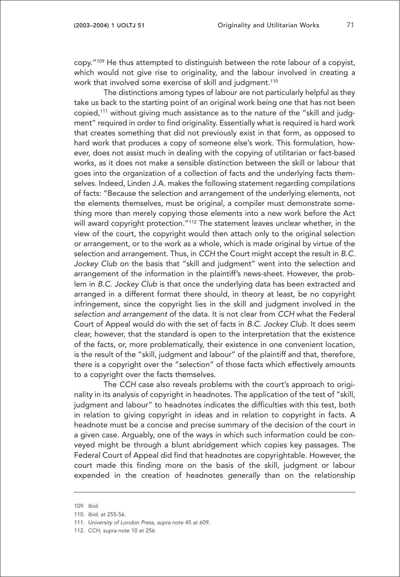copy."109 He thus attempted to distinguish between the rote labour of a copyist, which would not give rise to originality, and the labour involved in creating a work that involved some exercise of skill and judgment.<sup>110</sup>

The distinctions among types of labour are not particularly helpful as they take us back to the starting point of an original work being one that has not been copied,111 without giving much assistance as to the nature of the "skill and judgment" required in order to find originality. Essentially what is required is hard work that creates something that did not previously exist in that form, as opposed to hard work that produces a copy of someone else's work. This formulation, however, does not assist much in dealing with the copying of utilitarian or fact-based works, as it does not make a sensible distinction between the skill or labour that goes into the organization of a collection of facts and the underlying facts themselves. Indeed, Linden J.A. makes the following statement regarding compilations of facts: "Because the selection and arrangement of the underlying elements, not the elements themselves, must be original, a compiler must demonstrate something more than merely copying those elements into a new work before the Act will award copyright protection."112 The statement leaves unclear whether, in the view of the court, the copyright would then attach only to the original selection or arrangement, or to the work as a whole, which is made original by virtue of the selection and arrangement. Thus, in CCH the Court might accept the result in B.C. Jockey Club on the basis that "skill and judgment" went into the selection and arrangement of the information in the plaintiff's news-sheet. However, the problem in B.C. Jockey Club is that once the underlying data has been extracted and arranged in a different format there should, in theory at least, be no copyright infringement, since the copyright lies in the skill and judgment involved in the selection and arrangement of the data. It is not clear from CCH what the Federal Court of Appeal would do with the set of facts in B.C. Jockey Club. It does seem clear, however, that the standard is open to the interpretation that the existence of the facts, or, more problematically, their existence in one convenient location, is the result of the "skill, judgment and labour" of the plaintiff and that, therefore, there is a copyright over the "selection" of those facts which effectively amounts to a copyright over the facts themselves.

The CCH case also reveals problems with the court's approach to originality in its analysis of copyright in headnotes. The application of the test of "skill, judgment and labour" to headnotes indicates the difficulties with this test, both in relation to giving copyright in ideas and in relation to copyright in facts. A headnote must be a concise and precise summary of the decision of the court in a given case. Arguably, one of the ways in which such information could be conveyed might be through a blunt abridgement which copies key passages. The Federal Court of Appeal did find that headnotes are copyrightable. However, the court made this finding more on the basis of the skill, judgment or labour expended in the creation of headnotes generally than on the relationship

<sup>109.</sup> Ibid.

<sup>110.</sup> Ibid. at 255-56.

<sup>111.</sup> University of London Press, supra note 45 at 609.

<sup>112.</sup> CCH, supra note 10 at 256.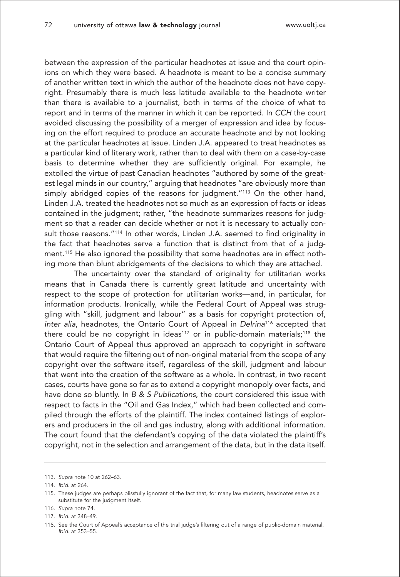between the expression of the particular headnotes at issue and the court opinions on which they were based. A headnote is meant to be a concise summary of another written text in which the author of the headnote does not have copyright. Presumably there is much less latitude available to the headnote writer than there is available to a journalist, both in terms of the choice of what to report and in terms of the manner in which it can be reported. In CCH the court avoided discussing the possibility of a merger of expression and idea by focusing on the effort required to produce an accurate headnote and by not looking at the particular headnotes at issue. Linden J.A. appeared to treat headnotes as a particular kind of literary work, rather than to deal with them on a case-by-case basis to determine whether they are sufficiently original. For example, he extolled the virtue of past Canadian headnotes "authored by some of the greatest legal minds in our country," arguing that headnotes "are obviously more than simply abridged copies of the reasons for judgment."<sup>113</sup> On the other hand, Linden J.A. treated the headnotes not so much as an expression of facts or ideas contained in the judgment; rather, "the headnote summarizes reasons for judgment so that a reader can decide whether or not it is necessary to actually consult those reasons."<sup>114</sup> In other words, Linden J.A. seemed to find originality in the fact that headnotes serve a function that is distinct from that of a judgment.115 He also ignored the possibility that some headnotes are in effect nothing more than blunt abridgements of the decisions to which they are attached.

The uncertainty over the standard of originality for utilitarian works means that in Canada there is currently great latitude and uncertainty with respect to the scope of protection for utilitarian works—and, in particular, for information products. Ironically, while the Federal Court of Appeal was struggling with "skill, judgment and labour" as a basis for copyright protection of, inter alia, headnotes, the Ontario Court of Appeal in Delrina<sup>116</sup> accepted that there could be no copyright in ideas<sup>117</sup> or in public-domain materials;<sup>118</sup> the Ontario Court of Appeal thus approved an approach to copyright in software that would require the filtering out of non-original material from the scope of any copyright over the software itself, regardless of the skill, judgment and labour that went into the creation of the software as a whole. In contrast, in two recent cases, courts have gone so far as to extend a copyright monopoly over facts, and have done so bluntly. In B & S Publications, the court considered this issue with respect to facts in the "Oil and Gas Index," which had been collected and compiled through the efforts of the plaintiff. The index contained listings of explorers and producers in the oil and gas industry, along with additional information. The court found that the defendant's copying of the data violated the plaintiff's copyright, not in the selection and arrangement of the data, but in the data itself.

<sup>113.</sup> Supra note 10 at 262–63.

<sup>114.</sup> Ibid. at 264.

<sup>115.</sup> These judges are perhaps blissfully ignorant of the fact that, for many law students, headnotes serve as a substitute for the judgment itself.

<sup>116.</sup> Supra note 74.

<sup>117.</sup> Ibid. at 348–49.

<sup>118.</sup> See the Court of Appeal's acceptance of the trial judge's filtering out of a range of public-domain material. Ibid. at 353–55.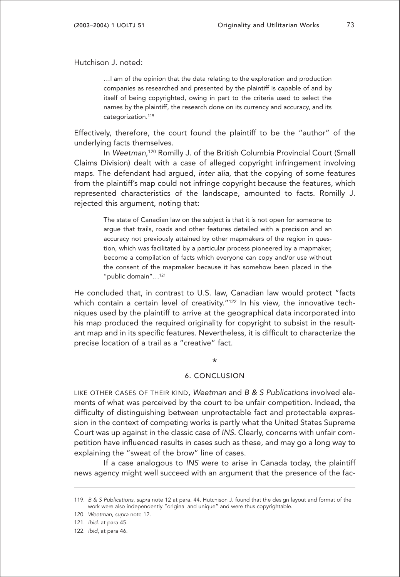Hutchison J. noted:

…I am of the opinion that the data relating to the exploration and production companies as researched and presented by the plaintiff is capable of and by itself of being copyrighted, owing in part to the criteria used to select the names by the plaintiff, the research done on its currency and accuracy, and its categorization.<sup>119</sup>

Effectively, therefore, the court found the plaintiff to be the "author" of the underlying facts themselves.

In Weetman, <sup>120</sup> Romilly J. of the British Columbia Provincial Court (Small Claims Division) dealt with a case of alleged copyright infringement involving maps. The defendant had argued, inter alia, that the copying of some features from the plaintiff's map could not infringe copyright because the features, which represented characteristics of the landscape, amounted to facts. Romilly J. rejected this argument, noting that:

> The state of Canadian law on the subject is that it is not open for someone to argue that trails, roads and other features detailed with a precision and an accuracy not previously attained by other mapmakers of the region in question, which was facilitated by a particular process pioneered by a mapmaker, become a compilation of facts which everyone can copy and/or use without the consent of the mapmaker because it has somehow been placed in the "public domain"…121

He concluded that, in contrast to U.S. law, Canadian law would protect "facts which contain a certain level of creativity."<sup>122</sup> In his view, the innovative techniques used by the plaintiff to arrive at the geographical data incorporated into his map produced the required originality for copyright to subsist in the resultant map and in its specific features. Nevertheless, it is difficult to characterize the precise location of a trail as a "creative" fact.

#### \*

#### 6. CONCLUSION

LIKE OTHER CASES OF THEIR KIND, Weetman and B & S Publications involved elements of what was perceived by the court to be unfair competition. Indeed, the difficulty of distinguishing between unprotectable fact and protectable expression in the context of competing works is partly what the United States Supreme Court was up against in the classic case of INS. Clearly, concerns with unfair competition have influenced results in cases such as these, and may go a long way to explaining the "sweat of the brow" line of cases.

If a case analogous to INS were to arise in Canada today, the plaintiff news agency might well succeed with an argument that the presence of the fac-

<sup>119.</sup> B & S Publications, supra note 12 at para. 44. Hutchison J. found that the design layout and format of the work were also independently "original and unique" and were thus copyrightable.

<sup>120.</sup> Weetman, supra note 12.

<sup>121.</sup> Ibid. at para 45.

<sup>122.</sup> Ibid, at para 46.